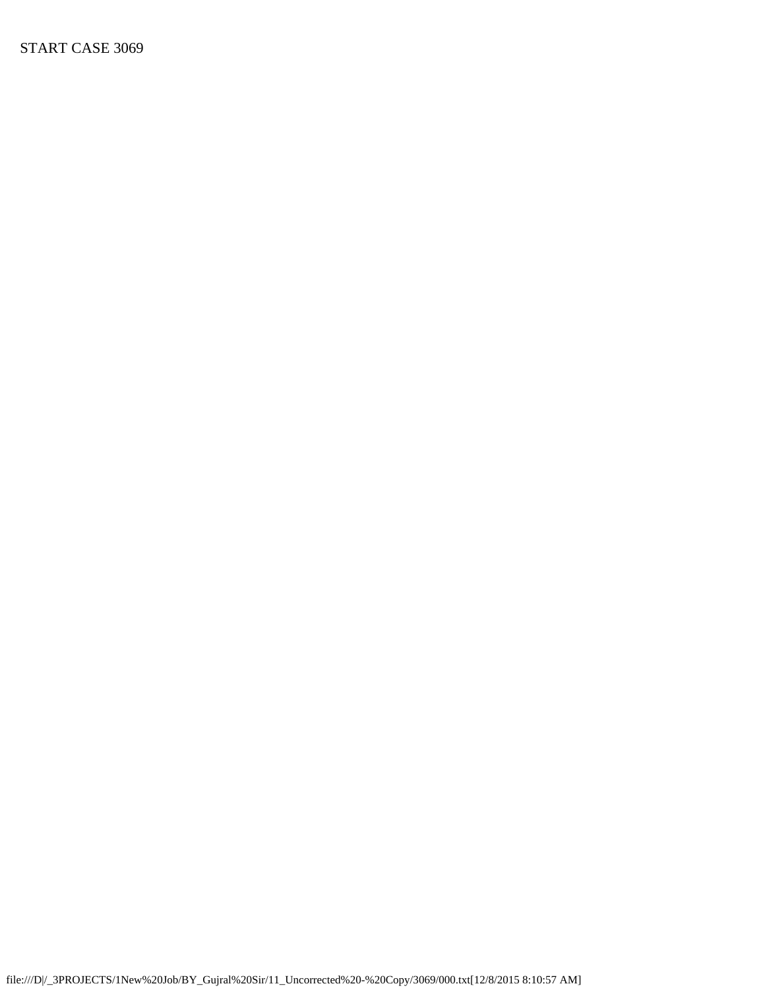START CASE 3069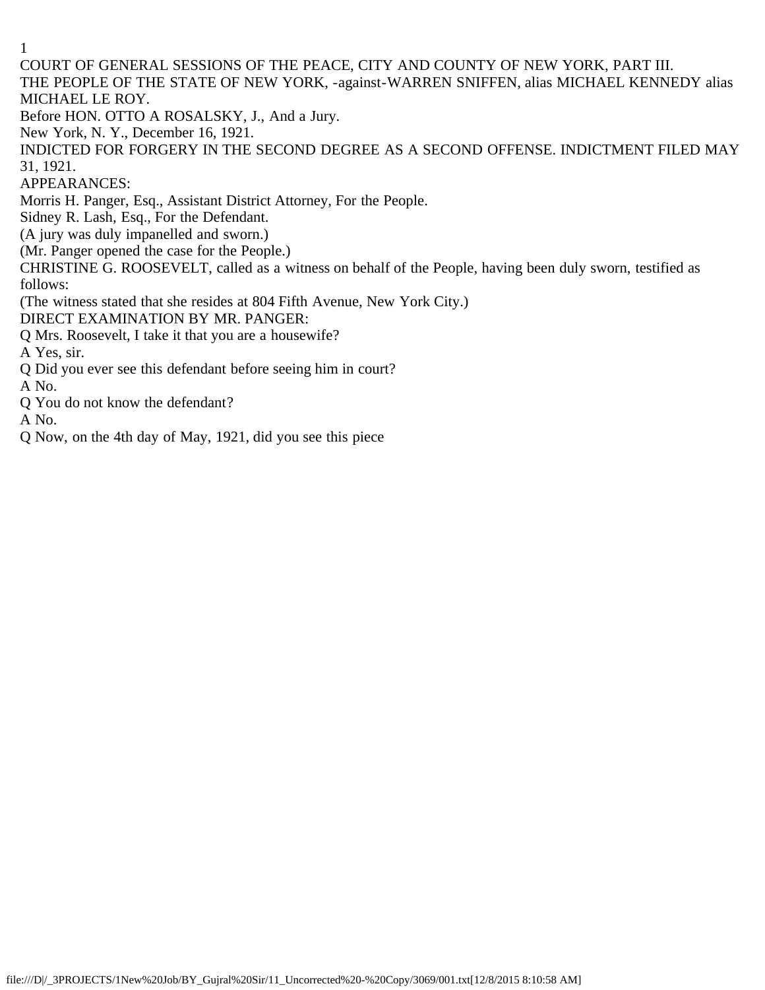COURT OF GENERAL SESSIONS OF THE PEACE, CITY AND COUNTY OF NEW YORK, PART III. THE PEOPLE OF THE STATE OF NEW YORK, -against-WARREN SNIFFEN, alias MICHAEL KENNEDY alias MICHAEL LE ROY. Before HON. OTTO A ROSALSKY, J., And a Jury. New York, N. Y., December 16, 1921. INDICTED FOR FORGERY IN THE SECOND DEGREE AS A SECOND OFFENSE. INDICTMENT FILED MAY 31, 1921.

APPEARANCES:

Morris H. Panger, Esq., Assistant District Attorney, For the People.

Sidney R. Lash, Esq., For the Defendant.

(A jury was duly impanelled and sworn.)

(Mr. Panger opened the case for the People.)

CHRISTINE G. ROOSEVELT, called as a witness on behalf of the People, having been duly sworn, testified as follows:

(The witness stated that she resides at 804 Fifth Avenue, New York City.)

DIRECT EXAMINATION BY MR. PANGER:

Q Mrs. Roosevelt, I take it that you are a housewife?

A Yes, sir.

Q Did you ever see this defendant before seeing him in court?

A No.

Q You do not know the defendant?

A No.

Q Now, on the 4th day of May, 1921, did you see this piece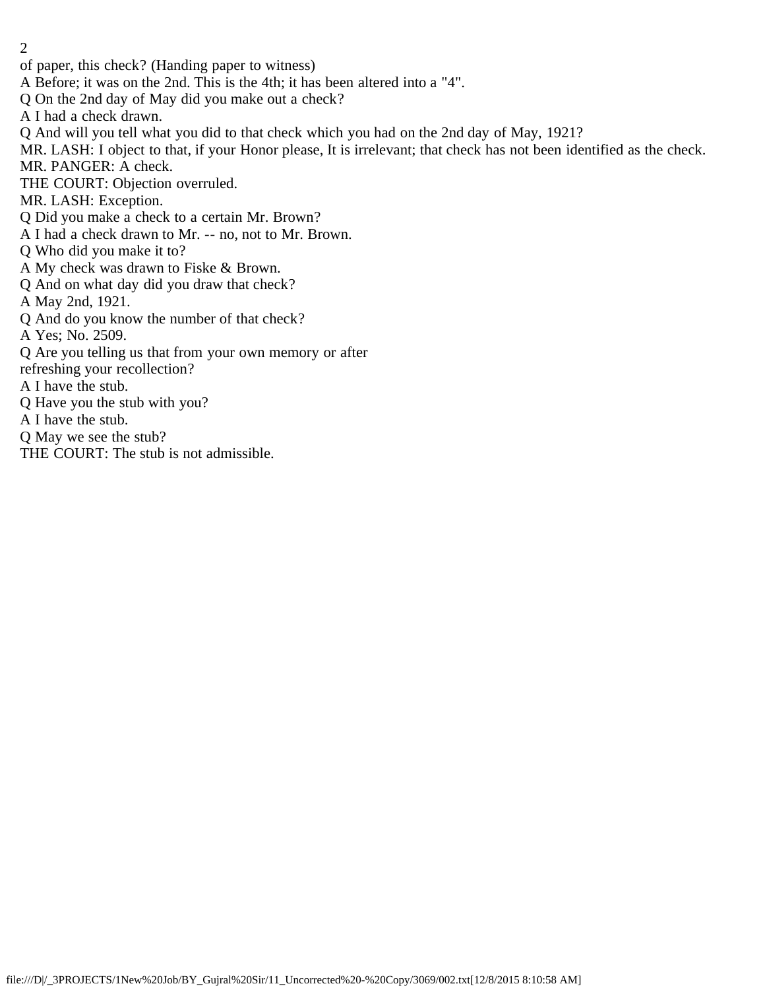- 2
- of paper, this check? (Handing paper to witness)
- A Before; it was on the 2nd. This is the 4th; it has been altered into a "4".
- Q On the 2nd day of May did you make out a check?
- A I had a check drawn.
- Q And will you tell what you did to that check which you had on the 2nd day of May, 1921?
- MR. LASH: I object to that, if your Honor please, It is irrelevant; that check has not been identified as the check.
- MR. PANGER: A check.
- THE COURT: Objection overruled.
- MR. LASH: Exception.
- Q Did you make a check to a certain Mr. Brown?
- A I had a check drawn to Mr. -- no, not to Mr. Brown.
- Q Who did you make it to?
- A My check was drawn to Fiske & Brown.
- Q And on what day did you draw that check?
- A May 2nd, 1921.
- Q And do you know the number of that check?
- A Yes; No. 2509.
- Q Are you telling us that from your own memory or after
- refreshing your recollection?
- A I have the stub.
- Q Have you the stub with you?
- A I have the stub.
- Q May we see the stub?
- THE COURT: The stub is not admissible.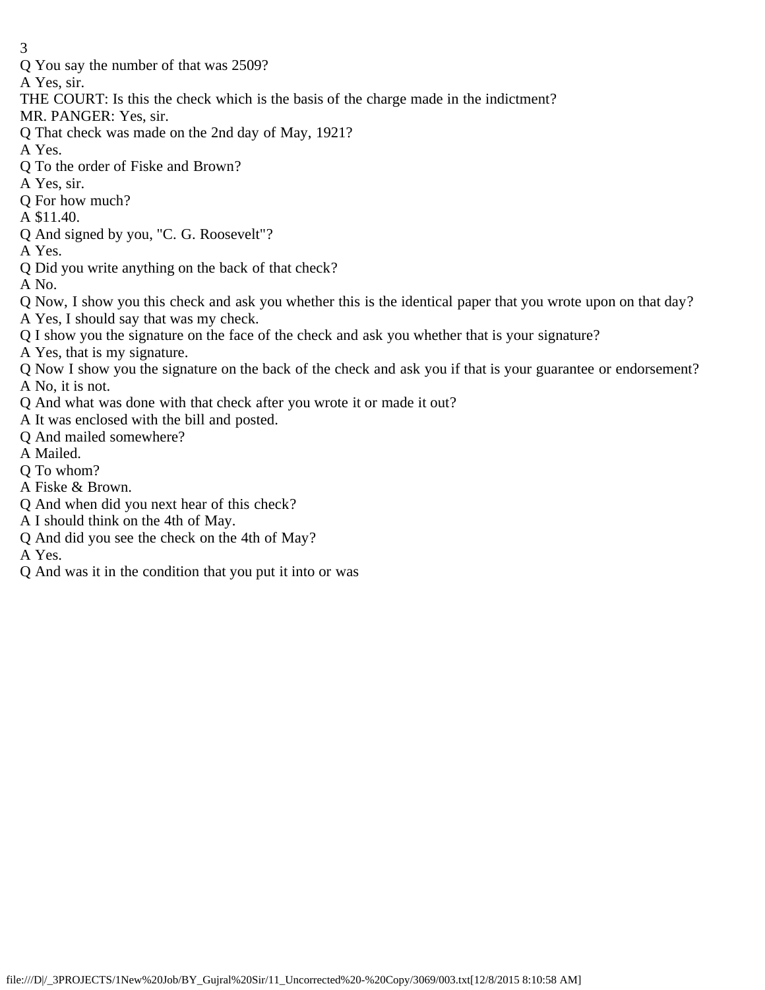Q You say the number of that was 2509?

A Yes, sir.

- THE COURT: Is this the check which is the basis of the charge made in the indictment?
- MR. PANGER: Yes, sir.
- Q That check was made on the 2nd day of May, 1921?
- A Yes.
- Q To the order of Fiske and Brown?
- A Yes, sir.
- Q For how much?
- A \$11.40.
- Q And signed by you, "C. G. Roosevelt"?
- A Yes.
- Q Did you write anything on the back of that check?
- A No.
- Q Now, I show you this check and ask you whether this is the identical paper that you wrote upon on that day?
- A Yes, I should say that was my check.
- Q I show you the signature on the face of the check and ask you whether that is your signature?
- A Yes, that is my signature.
- Q Now I show you the signature on the back of the check and ask you if that is your guarantee or endorsement? A No, it is not.
- Q And what was done with that check after you wrote it or made it out?
- A It was enclosed with the bill and posted.
- Q And mailed somewhere?
- A Mailed.
- Q To whom?
- A Fiske & Brown.
- Q And when did you next hear of this check?
- A I should think on the 4th of May.
- Q And did you see the check on the 4th of May?
- A Yes.
- Q And was it in the condition that you put it into or was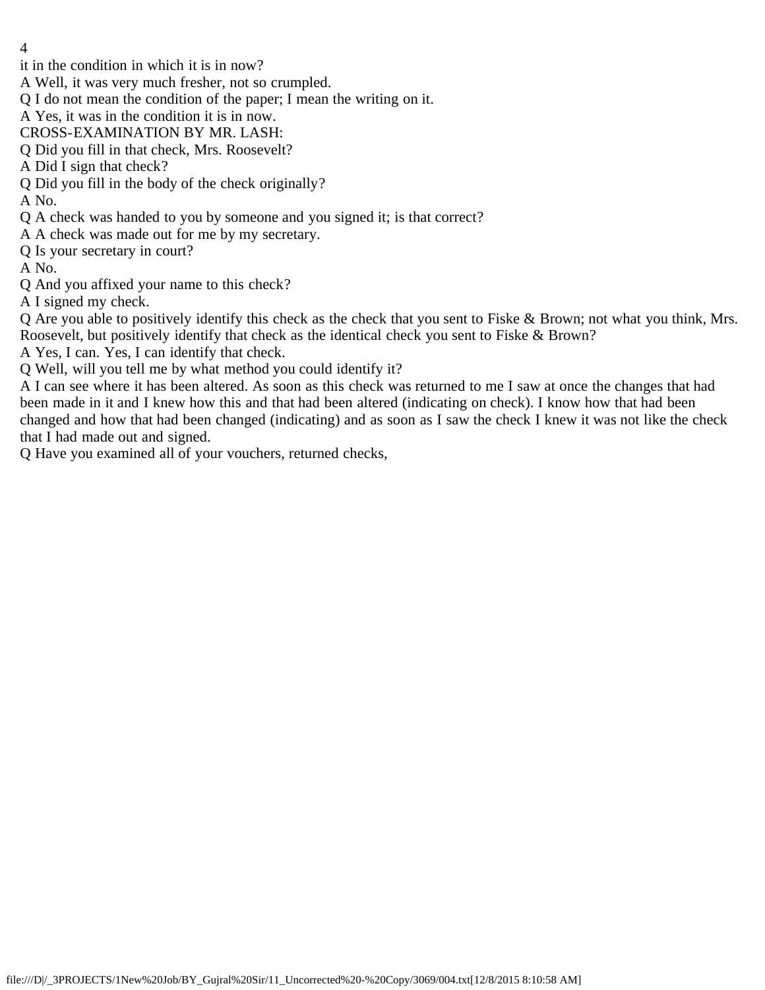- 4
- it in the condition in which it is in now?
- A Well, it was very much fresher, not so crumpled.
- Q I do not mean the condition of the paper; I mean the writing on it.
- A Yes, it was in the condition it is in now.
- CROSS-EXAMINATION BY MR. LASH:
- Q Did you fill in that check, Mrs. Roosevelt?
- A Did I sign that check?
- Q Did you fill in the body of the check originally?
- A No.
- Q A check was handed to you by someone and you signed it; is that correct?
- A A check was made out for me by my secretary.
- Q Is your secretary in court?
- A No.
- Q And you affixed your name to this check?
- A I signed my check.
- Q Are you able to positively identify this check as the check that you sent to Fiske & Brown; not what you think, Mrs. Roosevelt, but positively identify that check as the identical check you sent to Fiske & Brown?
- A Yes, I can. Yes, I can identify that check.
- Q Well, will you tell me by what method you could identify it?

A I can see where it has been altered. As soon as this check was returned to me I saw at once the changes that had been made in it and I knew how this and that had been altered (indicating on check). I know how that had been changed and how that had been changed (indicating) and as soon as I saw the check I knew it was not like the check that I had made out and signed.

Q Have you examined all of your vouchers, returned checks,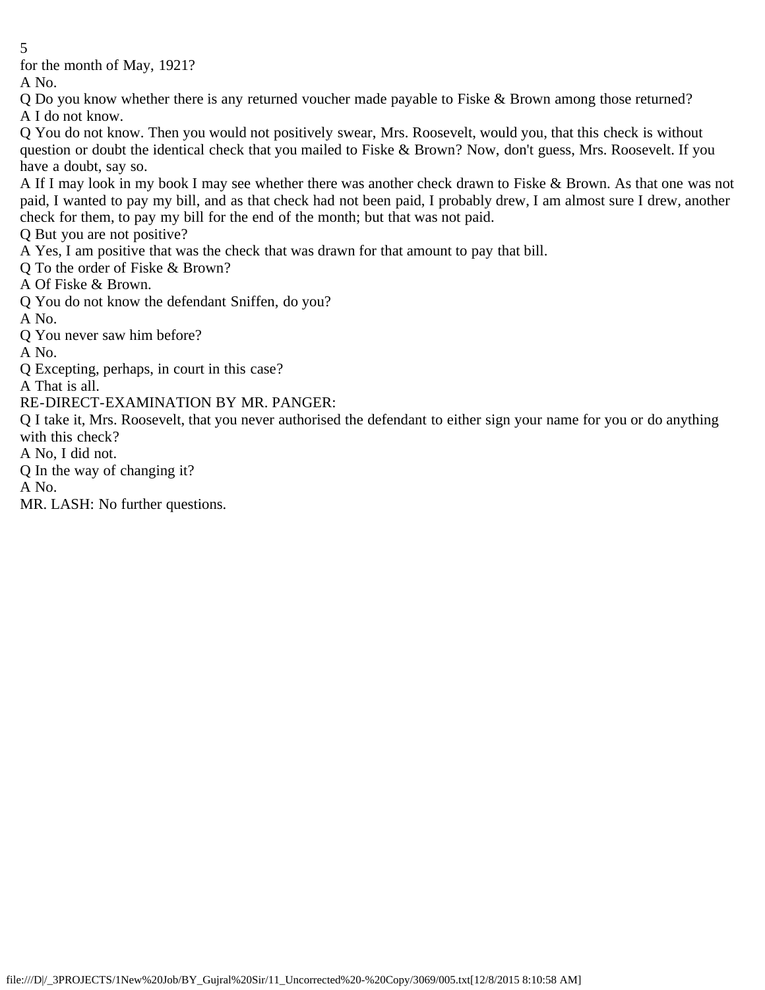for the month of May, 1921?

A No.

Q Do you know whether there is any returned voucher made payable to Fiske & Brown among those returned? A I do not know.

Q You do not know. Then you would not positively swear, Mrs. Roosevelt, would you, that this check is without question or doubt the identical check that you mailed to Fiske & Brown? Now, don't guess, Mrs. Roosevelt. If you have a doubt, say so.

A If I may look in my book I may see whether there was another check drawn to Fiske & Brown. As that one was not paid, I wanted to pay my bill, and as that check had not been paid, I probably drew, I am almost sure I drew, another check for them, to pay my bill for the end of the month; but that was not paid.

Q But you are not positive?

A Yes, I am positive that was the check that was drawn for that amount to pay that bill.

Q To the order of Fiske & Brown?

A Of Fiske & Brown.

Q You do not know the defendant Sniffen, do you?

A No.

Q You never saw him before?

A No.

Q Excepting, perhaps, in court in this case?

A That is all.

RE-DIRECT-EXAMINATION BY MR. PANGER:

Q I take it, Mrs. Roosevelt, that you never authorised the defendant to either sign your name for you or do anything with this check?

A No, I did not.

Q In the way of changing it?

A No.

MR. LASH: No further questions.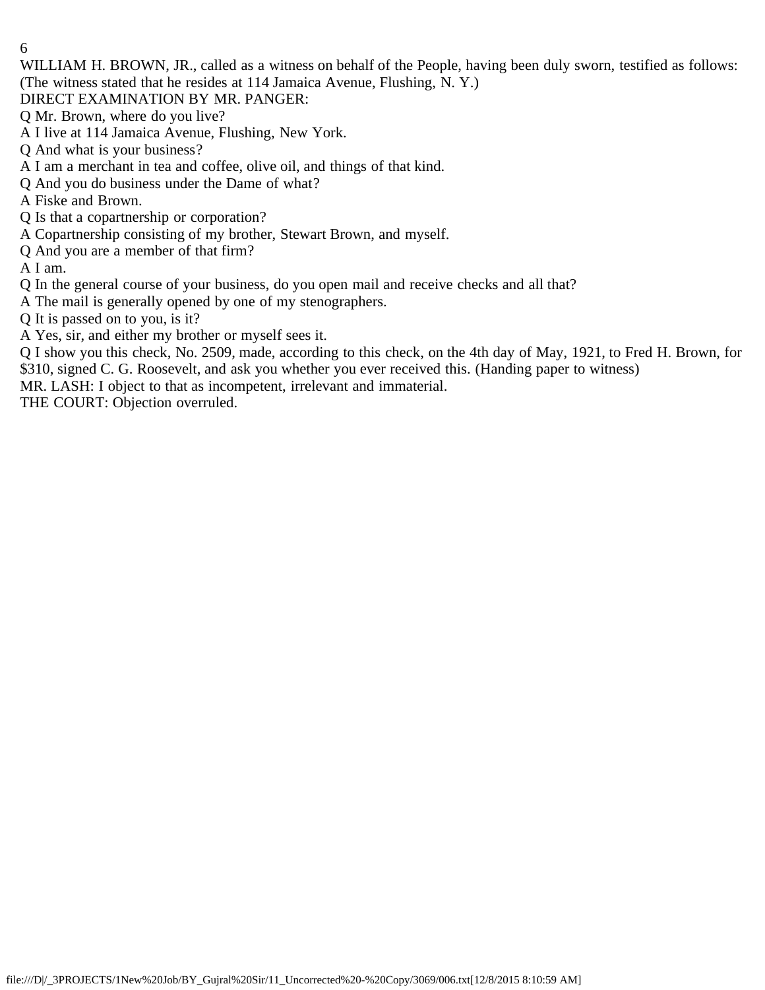WILLIAM H. BROWN, JR., called as a witness on behalf of the People, having been duly sworn, testified as follows: (The witness stated that he resides at 114 Jamaica Avenue, Flushing, N. Y.)

DIRECT EXAMINATION BY MR. PANGER:

- Q Mr. Brown, where do you live?
- A I live at 114 Jamaica Avenue, Flushing, New York.
- Q And what is your business?
- A I am a merchant in tea and coffee, olive oil, and things of that kind.
- Q And you do business under the Dame of what?
- A Fiske and Brown.
- Q Is that a copartnership or corporation?
- A Copartnership consisting of my brother, Stewart Brown, and myself.
- Q And you are a member of that firm?
- A I am.
- Q In the general course of your business, do you open mail and receive checks and all that?
- A The mail is generally opened by one of my stenographers.
- Q It is passed on to you, is it?
- A Yes, sir, and either my brother or myself sees it.

Q I show you this check, No. 2509, made, according to this check, on the 4th day of May, 1921, to Fred H. Brown, for \$310, signed C. G. Roosevelt, and ask you whether you ever received this. (Handing paper to witness)

MR. LASH: I object to that as incompetent, irrelevant and immaterial.

THE COURT: Objection overruled.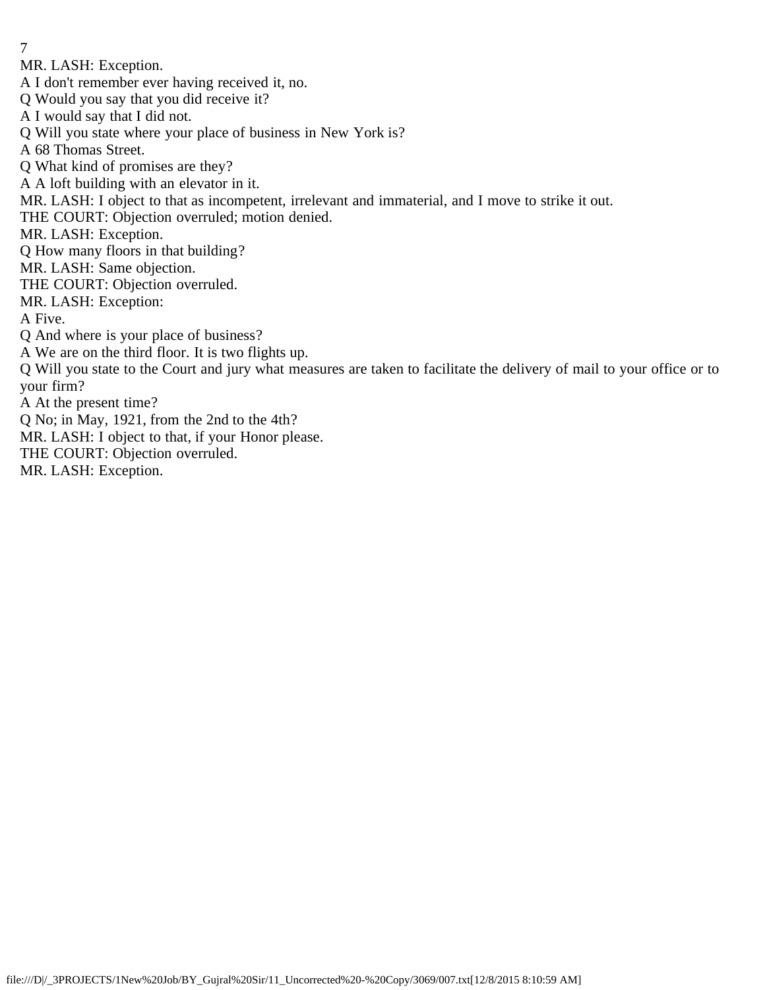- 7
- MR. LASH: Exception.
- A I don't remember ever having received it, no.
- Q Would you say that you did receive it?
- A I would say that I did not.
- Q Will you state where your place of business in New York is?
- A 68 Thomas Street.
- Q What kind of promises are they?
- A A loft building with an elevator in it.
- MR. LASH: I object to that as incompetent, irrelevant and immaterial, and I move to strike it out.
- THE COURT: Objection overruled; motion denied.
- MR. LASH: Exception.
- Q How many floors in that building?
- MR. LASH: Same objection.
- THE COURT: Objection overruled.
- MR. LASH: Exception:
- A Five.
- Q And where is your place of business?
- A We are on the third floor. It is two flights up.
- Q Will you state to the Court and jury what measures are taken to facilitate the delivery of mail to your office or to your firm?
- A At the present time?
- Q No; in May, 1921, from the 2nd to the 4th?
- MR. LASH: I object to that, if your Honor please.
- THE COURT: Objection overruled.
- MR. LASH: Exception.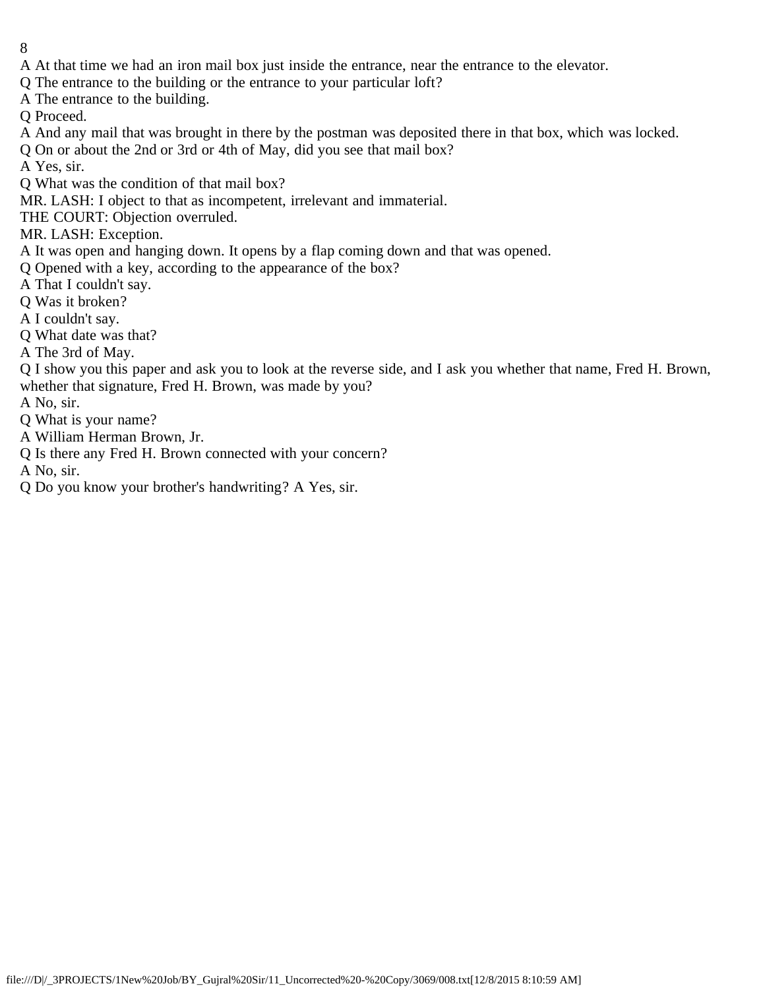- 8
- A At that time we had an iron mail box just inside the entrance, near the entrance to the elevator.
- Q The entrance to the building or the entrance to your particular loft?
- A The entrance to the building.
- Q Proceed.
- A And any mail that was brought in there by the postman was deposited there in that box, which was locked.
- Q On or about the 2nd or 3rd or 4th of May, did you see that mail box?
- A Yes, sir.
- Q What was the condition of that mail box?
- MR. LASH: I object to that as incompetent, irrelevant and immaterial.
- THE COURT: Objection overruled.
- MR. LASH: Exception.
- A It was open and hanging down. It opens by a flap coming down and that was opened.
- Q Opened with a key, according to the appearance of the box?
- A That I couldn't say.
- Q Was it broken?
- A I couldn't say.
- Q What date was that?
- A The 3rd of May.
- Q I show you this paper and ask you to look at the reverse side, and I ask you whether that name, Fred H. Brown, whether that signature, Fred H. Brown, was made by you?
- A No, sir.
- Q What is your name?
- A William Herman Brown, Jr.
- Q Is there any Fred H. Brown connected with your concern?
- A No, sir.
- Q Do you know your brother's handwriting? A Yes, sir.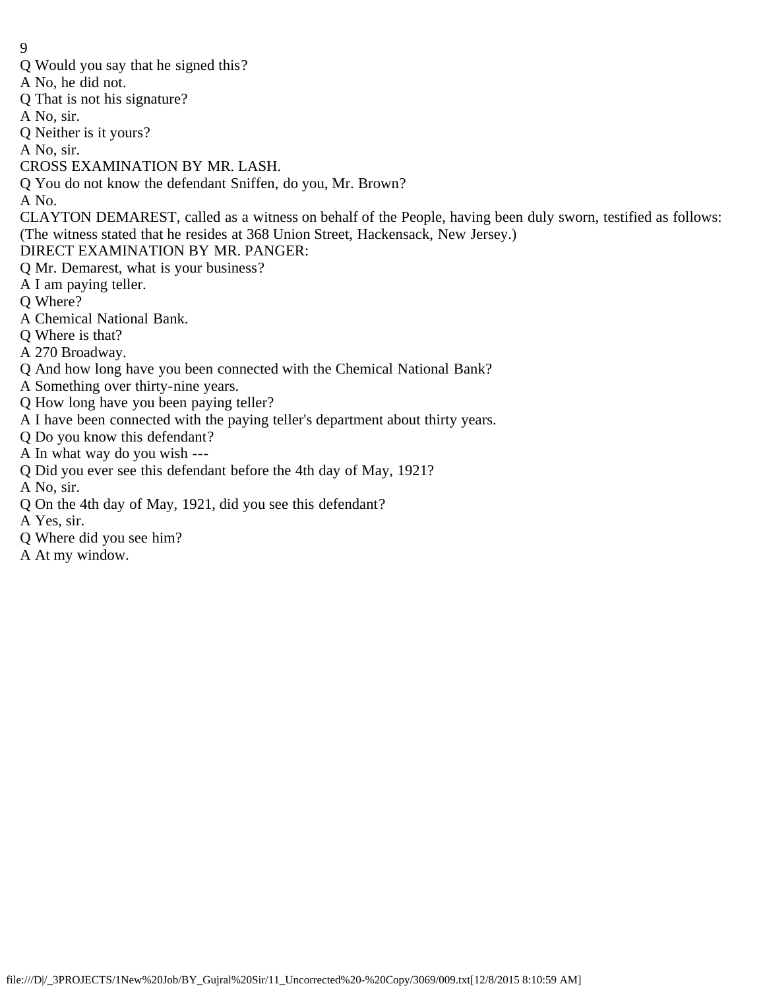- 9
- Q Would you say that he signed this?
- A No, he did not.
- Q That is not his signature?
- A No, sir.
- Q Neither is it yours?
- A No, sir.
- CROSS EXAMINATION BY MR. LASH.
- Q You do not know the defendant Sniffen, do you, Mr. Brown?
- A No.

CLAYTON DEMAREST, called as a witness on behalf of the People, having been duly sworn, testified as follows: (The witness stated that he resides at 368 Union Street, Hackensack, New Jersey.)

- DIRECT EXAMINATION BY MR. PANGER:
- Q Mr. Demarest, what is your business?
- A I am paying teller.
- Q Where?
- A Chemical National Bank.
- Q Where is that?
- A 270 Broadway.
- Q And how long have you been connected with the Chemical National Bank?
- A Something over thirty-nine years.
- Q How long have you been paying teller?
- A I have been connected with the paying teller's department about thirty years.
- Q Do you know this defendant?
- A In what way do you wish ---
- Q Did you ever see this defendant before the 4th day of May, 1921?
- A No, sir.
- Q On the 4th day of May, 1921, did you see this defendant?
- A Yes, sir.
- Q Where did you see him?
- A At my window.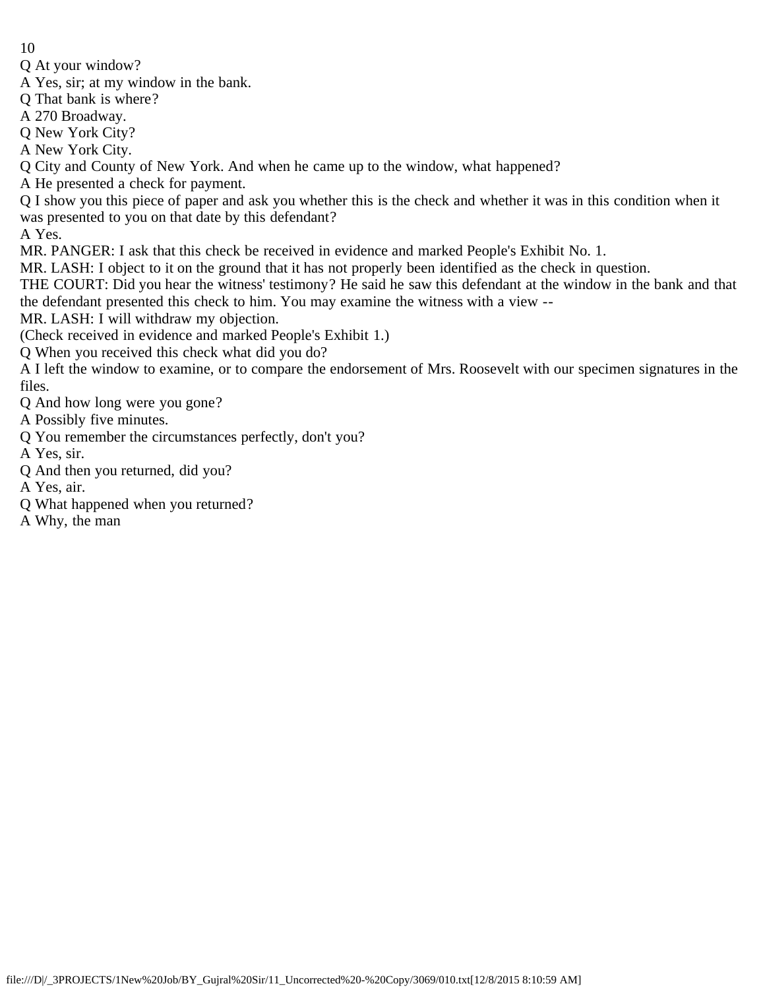Q At your window?

A Yes, sir; at my window in the bank.

Q That bank is where?

A 270 Broadway.

Q New York City?

A New York City.

Q City and County of New York. And when he came up to the window, what happened?

A He presented a check for payment.

Q I show you this piece of paper and ask you whether this is the check and whether it was in this condition when it was presented to you on that date by this defendant?

A Yes.

MR. PANGER: I ask that this check be received in evidence and marked People's Exhibit No. 1.

MR. LASH: I object to it on the ground that it has not properly been identified as the check in question.

THE COURT: Did you hear the witness' testimony? He said he saw this defendant at the window in the bank and that the defendant presented this check to him. You may examine the witness with a view --

MR. LASH: I will withdraw my objection.

(Check received in evidence and marked People's Exhibit 1.)

Q When you received this check what did you do?

A I left the window to examine, or to compare the endorsement of Mrs. Roosevelt with our specimen signatures in the files.

Q And how long were you gone?

- A Possibly five minutes.
- Q You remember the circumstances perfectly, don't you?

A Yes, sir.

Q And then you returned, did you?

A Yes, air.

- Q What happened when you returned?
- A Why, the man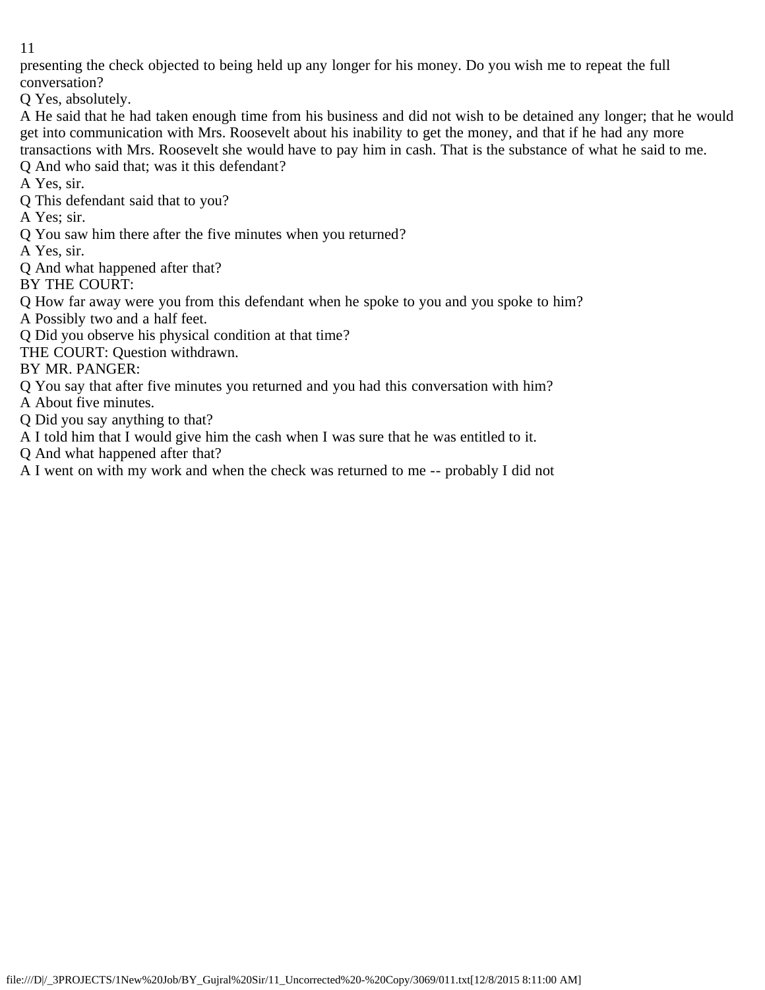presenting the check objected to being held up any longer for his money. Do you wish me to repeat the full conversation?

Q Yes, absolutely.

A He said that he had taken enough time from his business and did not wish to be detained any longer; that he would get into communication with Mrs. Roosevelt about his inability to get the money, and that if he had any more transactions with Mrs. Roosevelt she would have to pay him in cash. That is the substance of what he said to me.

- Q And who said that; was it this defendant?
- A Yes, sir.
- Q This defendant said that to you?
- A Yes; sir.
- Q You saw him there after the five minutes when you returned?
- A Yes, sir.
- Q And what happened after that?
- BY THE COURT:
- Q How far away were you from this defendant when he spoke to you and you spoke to him?
- A Possibly two and a half feet.
- Q Did you observe his physical condition at that time?
- THE COURT: Question withdrawn.
- BY MR. PANGER:
- Q You say that after five minutes you returned and you had this conversation with him?
- A About five minutes.
- Q Did you say anything to that?
- A I told him that I would give him the cash when I was sure that he was entitled to it.
- Q And what happened after that?
- A I went on with my work and when the check was returned to me -- probably I did not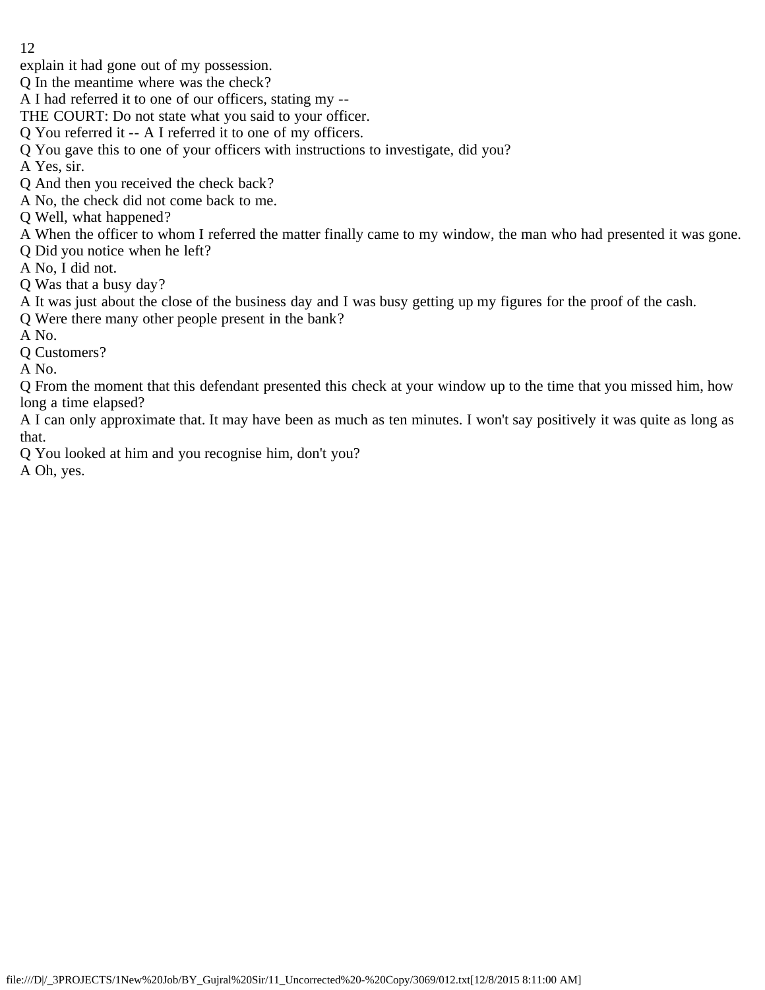- 12
- explain it had gone out of my possession.
- Q In the meantime where was the check?
- A I had referred it to one of our officers, stating my --
- THE COURT: Do not state what you said to your officer.
- Q You referred it -- A I referred it to one of my officers.
- Q You gave this to one of your officers with instructions to investigate, did you?
- A Yes, sir.
- Q And then you received the check back?
- A No, the check did not come back to me.
- Q Well, what happened?
- A When the officer to whom I referred the matter finally came to my window, the man who had presented it was gone.
- Q Did you notice when he left?
- A No, I did not.
- Q Was that a busy day?
- A It was just about the close of the business day and I was busy getting up my figures for the proof of the cash.
- Q Were there many other people present in the bank?
- A No.
- Q Customers?
- A No.
- Q From the moment that this defendant presented this check at your window up to the time that you missed him, how long a time elapsed?
- A I can only approximate that. It may have been as much as ten minutes. I won't say positively it was quite as long as that.
- Q You looked at him and you recognise him, don't you?
- A Oh, yes.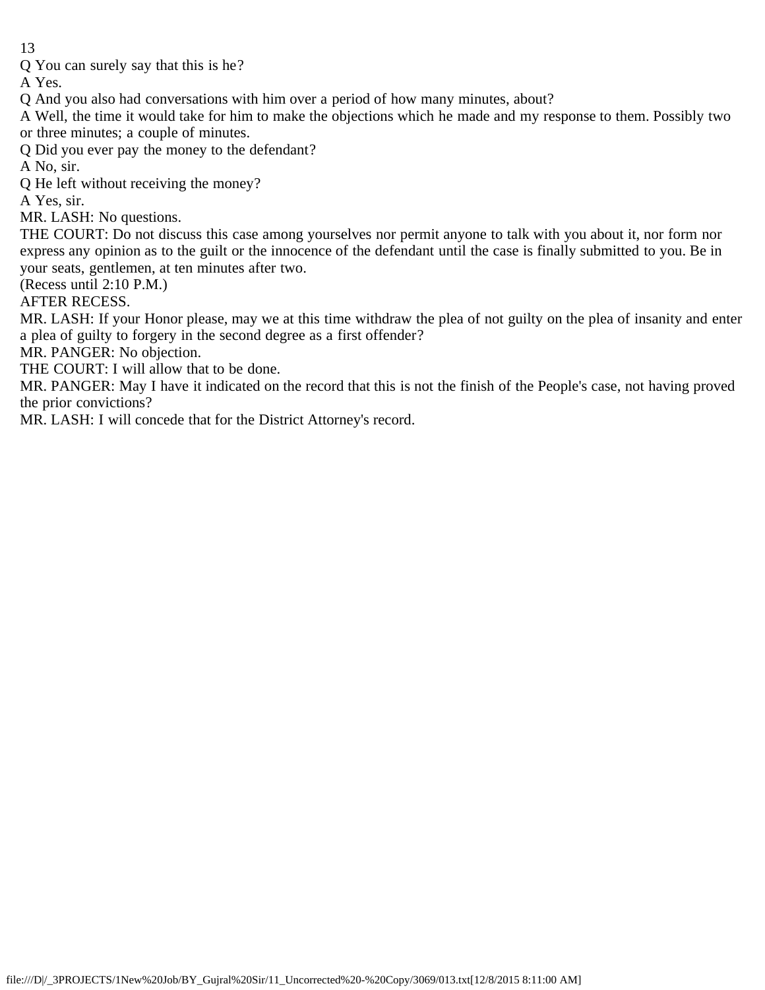Q You can surely say that this is he?

A Yes.

Q And you also had conversations with him over a period of how many minutes, about?

A Well, the time it would take for him to make the objections which he made and my response to them. Possibly two or three minutes; a couple of minutes.

Q Did you ever pay the money to the defendant?

A No, sir.

Q He left without receiving the money?

A Yes, sir.

MR. LASH: No questions.

THE COURT: Do not discuss this case among yourselves nor permit anyone to talk with you about it, nor form nor express any opinion as to the guilt or the innocence of the defendant until the case is finally submitted to you. Be in your seats, gentlemen, at ten minutes after two.

(Recess until 2:10 P.M.)

AFTER RECESS.

MR. LASH: If your Honor please, may we at this time withdraw the plea of not guilty on the plea of insanity and enter a plea of guilty to forgery in the second degree as a first offender?

MR. PANGER: No objection.

THE COURT: I will allow that to be done.

MR. PANGER: May I have it indicated on the record that this is not the finish of the People's case, not having proved the prior convictions?

MR. LASH: I will concede that for the District Attorney's record.